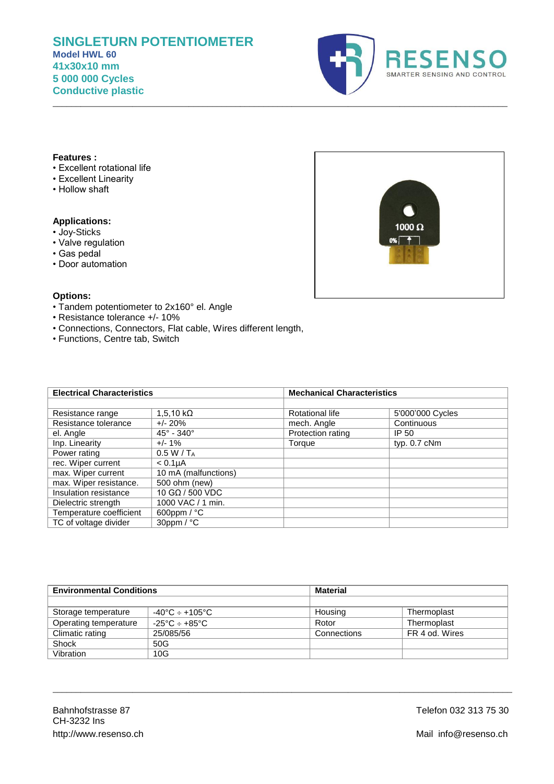# **SINGLETURN POTENTIOMETER Model HWL 60 41x30x10 mm 5 000 000 Cycles Conductive plastic**



## **Features :**

- Excellent rotational life
- Excellent Linearity
- Hollow shaft

# **Applications:**

- Joy-Sticks
- Valve regulation
- Gas pedal
- Door automation



## **Options:**

- Tandem potentiometer to 2x160° el. Angle
- Resistance tolerance +/- 10%
- Connections, Connectors, Flat cable, Wires different length,
- Functions, Centre tab, Switch

| <b>Electrical Characteristics</b> |                            |                   | <b>Mechanical Characteristics</b> |  |
|-----------------------------------|----------------------------|-------------------|-----------------------------------|--|
|                                   |                            |                   |                                   |  |
| Resistance range                  | $1,5,10 k\Omega$           | Rotational life   | 5'000'000 Cycles                  |  |
| Resistance tolerance              | $+/- 20\%$                 | mech. Angle       | Continuous                        |  |
| el. Angle                         | $45^{\circ} - 340^{\circ}$ | Protection rating | IP 50                             |  |
| Inp. Linearity                    | $+/- 1\%$                  | Torque            | typ. 0.7 cNm                      |  |
| Power rating                      | 0.5 W/T <sub>A</sub>       |                   |                                   |  |
| rec. Wiper current                | < 0.1 <sub>µ</sub> A       |                   |                                   |  |
| max. Wiper current                | 10 mA (malfunctions)       |                   |                                   |  |
| max. Wiper resistance.            | 500 ohm (new)              |                   |                                   |  |
| Insulation resistance             | 10 GΩ / 500 VDC            |                   |                                   |  |
| Dielectric strength               | 1000 VAC / 1 min.          |                   |                                   |  |
| Temperature coefficient           | 600ppm $/$ °C              |                   |                                   |  |
| TC of voltage divider             | $30$ ppm / $°C$            |                   |                                   |  |

\_\_\_\_\_\_\_\_\_\_\_\_\_\_\_\_\_\_\_\_\_\_\_\_\_\_\_\_\_\_\_\_\_\_\_\_\_\_\_\_\_\_\_\_\_\_\_\_\_\_\_\_\_\_\_\_\_\_\_\_\_\_\_\_\_\_\_\_\_\_\_\_\_\_\_\_\_\_\_\_\_\_\_\_\_\_\_\_\_\_\_\_\_\_\_\_\_

| <b>Environmental Conditions</b> |                              | <b>Material</b> |                |
|---------------------------------|------------------------------|-----------------|----------------|
|                                 |                              |                 |                |
| Storage temperature             | $-40^{\circ}$ C ÷ +105°C     | Housing         | Thermoplast    |
| Operating temperature           | $-25^{\circ}$ C $\div$ +85°C | Rotor           | Thermoplast    |
| Climatic rating                 | 25/085/56                    | Connections     | FR 4 od. Wires |
| Shock                           | 50G                          |                 |                |
| Vibration                       | 10G                          |                 |                |

\_\_\_\_\_\_\_\_\_\_\_\_\_\_\_\_\_\_\_\_\_\_\_\_\_\_\_\_\_\_\_\_\_\_\_\_\_\_\_\_\_\_\_\_\_\_\_\_\_\_\_\_\_\_\_\_\_\_\_\_\_\_\_\_\_\_\_\_\_\_\_\_\_\_\_\_\_\_\_\_\_\_\_\_\_\_\_\_\_\_\_\_\_\_\_\_\_\_

Telefon 032 313 75 30